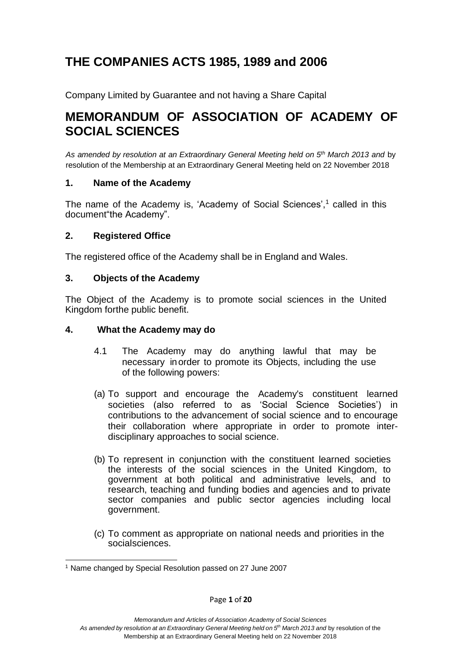# **THE COMPANIES ACTS 1985, 1989 and 2006**

Company Limited by Guarantee and not having a Share Capital

# **MEMORANDUM OF ASSOCIATION OF ACADEMY OF SOCIAL SCIENCES**

*As amended by resolution at an Extraordinary General Meeting held on 5 th March 2013 and* by resolution of the Membership at an Extraordinary General Meeting held on 22 November 2018

#### **1. Name of the Academy**

The name of the Academy is, 'Academy of Social Sciences',<sup>1</sup> called in this document"the Academy".

#### **2. Registered Office**

The registered office of the Academy shall be in England and Wales.

#### **3. Objects of the Academy**

The Object of the Academy is to promote social sciences in the United Kingdom forthe public benefit.

#### **4. What the Academy may do**

- 4.1 The Academy may do anything lawful that may be necessary inorder to promote its Objects, including the use of the following powers:
- (a) To support and encourage the Academy's constituent learned societies (also referred to as 'Social Science Societies') in contributions to the advancement of social science and to encourage their collaboration where appropriate in order to promote interdisciplinary approaches to social science.
- (b) To represent in conjunction with the constituent learned societies the interests of the social sciences in the United Kingdom, to government at both political and administrative levels, and to research, teaching and funding bodies and agencies and to private sector companies and public sector agencies including local government.
- (c) To comment as appropriate on national needs and priorities in the socialsciences.

<sup>1</sup> Name changed by Special Resolution passed on 27 June 2007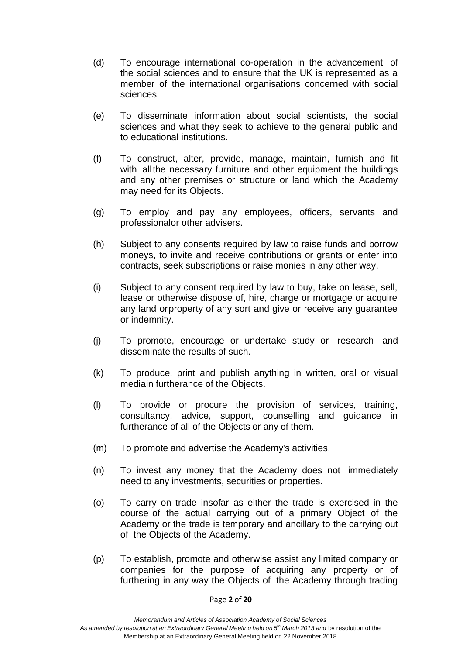- (d) To encourage international co-operation in the advancement of the social sciences and to ensure that the UK is represented as a member of the international organisations concerned with social sciences.
- (e) To disseminate information about social scientists, the social sciences and what they seek to achieve to the general public and to educational institutions.
- (f) To construct, alter, provide, manage, maintain, furnish and fit with allthe necessary furniture and other equipment the buildings and any other premises or structure or land which the Academy may need for its Objects.
- (g) To employ and pay any employees, officers, servants and professionalor other advisers.
- (h) Subject to any consents required by law to raise funds and borrow moneys, to invite and receive contributions or grants or enter into contracts, seek subscriptions or raise monies in any other way.
- (i) Subject to any consent required by law to buy, take on lease, sell, lease or otherwise dispose of, hire, charge or mortgage or acquire any land orproperty of any sort and give or receive any guarantee or indemnity.
- (j) To promote, encourage or undertake study or research and disseminate the results of such.
- (k) To produce, print and publish anything in written, oral or visual mediain furtherance of the Objects.
- (l) To provide or procure the provision of services, training, consultancy, advice, support, counselling and guidance in furtherance of all of the Objects or any of them.
- (m) To promote and advertise the Academy's activities.
- (n) To invest any money that the Academy does not immediately need to any investments, securities or properties.
- (o) To carry on trade insofar as either the trade is exercised in the course of the actual carrying out of a primary Object of the Academy or the trade is temporary and ancillary to the carrying out of the Objects of the Academy.
- (p) To establish, promote and otherwise assist any limited company or companies for the purpose of acquiring any property or of furthering in any way the Objects of the Academy through trading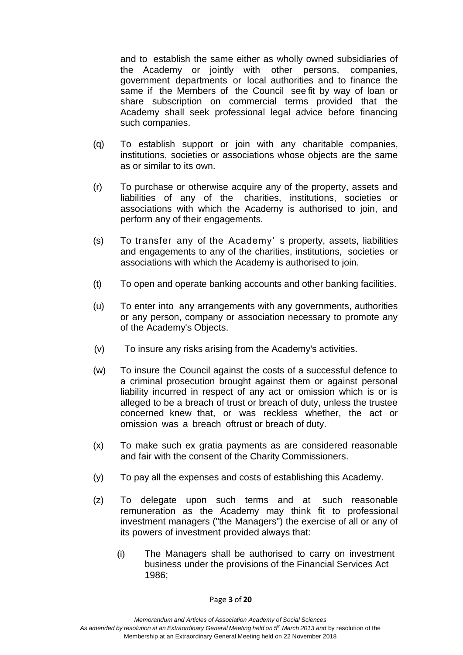and to establish the same either as wholly owned subsidiaries of the Academy or jointly with other persons, companies, government departments or local authorities and to finance the same if the Members of the Council see fit by way of loan or share subscription on commercial terms provided that the Academy shall seek professional legal advice before financing such companies.

- (q) To establish support or join with any charitable companies, institutions, societies or associations whose objects are the same as or similar to its own.
- (r) To purchase or otherwise acquire any of the property, assets and liabilities of any of the charities, institutions, societies or associations with which the Academy is authorised to join, and perform any of their engagements.
- (s) To transfer any of the Academy' s property, assets, liabilities and engagements to any of the charities, institutions, societies or associations with which the Academy is authorised to join.
- (t) To open and operate banking accounts and other banking facilities.
- (u) To enter into any arrangements with any governments, authorities or any person, company or association necessary to promote any of the Academy's Objects.
- (v) To insure any risks arising from the Academy's activities.
- (w) To insure the Council against the costs of a successful defence to a criminal prosecution brought against them or against personal liability incurred in respect of any act or omission which is or is alleged to be a breach of trust or breach of duty, unless the trustee concerned knew that, or was reckless whether, the act or omission was a breach oftrust or breach of duty.
- (x) To make such ex gratia payments as are considered reasonable and fair with the consent of the Charity Commissioners.
- (y) To pay all the expenses and costs of establishing this Academy.
- (z) To delegate upon such terms and at such reasonable remuneration as the Academy may think fit to professional investment managers ("the Managers") the exercise of all or any of its powers of investment provided always that:
	- (i) The Managers shall be authorised to carry on investment business under the provisions of the Financial Services Act 1986;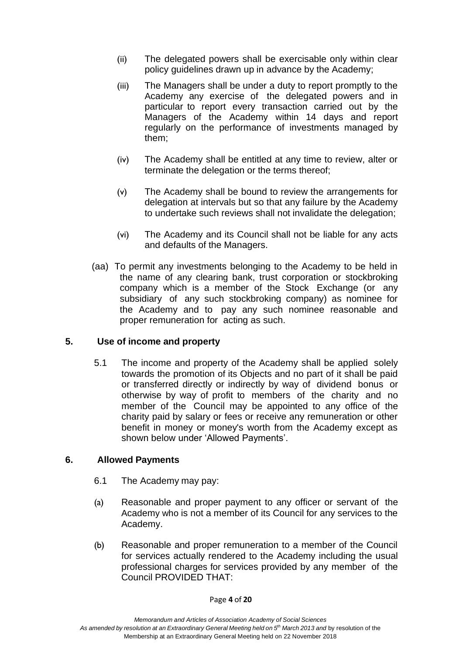- (ii) The delegated powers shall be exercisable only within clear policy guidelines drawn up in advance by the Academy;
- (iii) The Managers shall be under a duty to report promptly to the Academy any exercise of the delegated powers and in particular to report every transaction carried out by the Managers of the Academy within 14 days and report regularly on the performance of investments managed by them;
- (iv) The Academy shall be entitled at any time to review, alter or terminate the delegation or the terms thereof;
- (v) The Academy shall be bound to review the arrangements for delegation at intervals but so that any failure by the Academy to undertake such reviews shall not invalidate the delegation;
- (vi) The Academy and its Council shall not be liable for any acts and defaults of the Managers.
- (aa) To permit any investments belonging to the Academy to be held in the name of any clearing bank, trust corporation or stockbroking company which is a member of the Stock Exchange (or any subsidiary of any such stockbroking company) as nominee for the Academy and to pay any such nominee reasonable and proper remuneration for acting as such.

## **5. Use of income and property**

5.1 The income and property of the Academy shall be applied solely towards the promotion of its Objects and no part of it shall be paid or transferred directly or indirectly by way of dividend bonus or otherwise by way of profit to members of the charity and no member of the Council may be appointed to any office of the charity paid by salary or fees or receive any remuneration or other benefit in money or money's worth from the Academy except as shown below under 'Allowed Payments'.

#### **6. Allowed Payments**

- 6.1 The Academy may pay:
- (a) Reasonable and proper payment to any officer or servant of the Academy who is not a member of its Council for any services to the Academy.
- (b) Reasonable and proper remuneration to a member of the Council for services actually rendered to the Academy including the usual professional charges for services provided by any member of the Council PROVIDED THAT: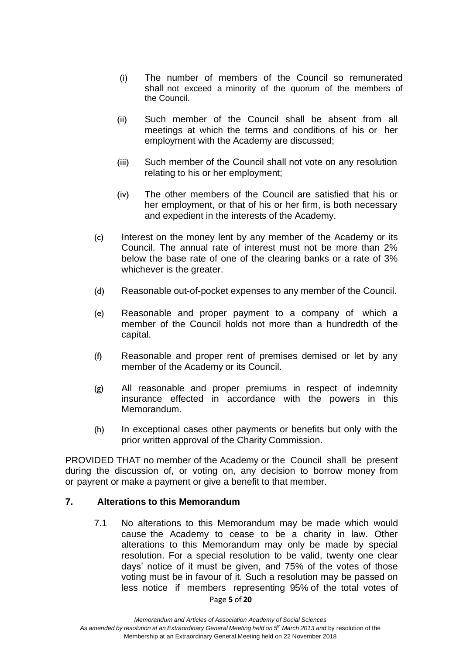- (i) The number of members of the Council so remunerated shall not exceed a minority of the quorum of the members of the Council.
- (ii) Such member of the Council shall be absent from all meetings at which the terms and conditions of his or her employment with the Academy are discussed;
- (iii) Such member of the Council shall not vote on any resolution relating to his or her employment;
- (iv) The other members of the Council are satisfied that his or her employment, or that of his or her firm, is both necessary and expedient in the interests of the Academy.
- (c) Interest on the money lent by any member of the Academy or its Council. The annual rate of interest must not be more than 2% below the base rate of one of the clearing banks or a rate of 3% whichever is the greater.
- (d) Reasonable out-of-pocket expenses to any member of the Council.
- (e) Reasonable and proper payment to a company of which a member of the Council holds not more than a hundredth of the capital.
- (f) Reasonable and proper rent of premises demised or let by any member of the Academy or its Council.
- (g) All reasonable and proper premiums in respect of indemnity insurance effected in accordance with the powers in this Memorandum.
- (h) In exceptional cases other payments or benefits but only with the prior written approval of the Charity Commission.

PROVIDED THAT no member of the Academy or the Council shall be present during the discussion of, or voting on, any decision to borrow money from or payrent or make a payment or give a benefit to that member.

#### **7. Alterations to this Memorandum**

7.1 No alterations to this Memorandum may be made which would cause the Academy to cease to be a charity in law. Other alterations to this Memorandum may only be made by special resolution. For a special resolution to be valid, twenty one clear days' notice of it must be given, and 75% of the votes of those voting must be in favour of it. Such a resolution may be passed on less notice if members representing 95% of the total votes of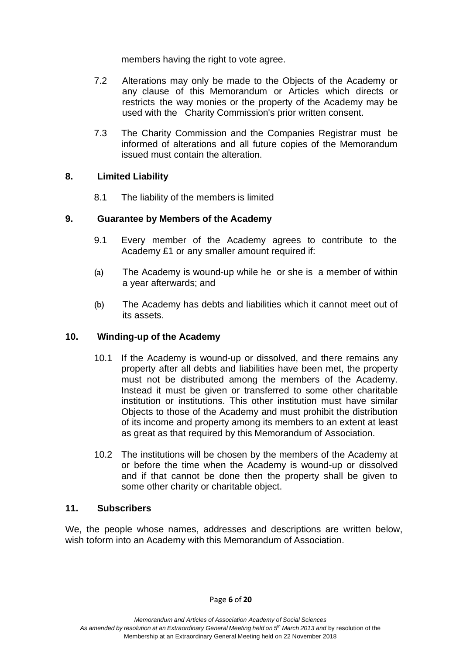members having the right to vote agree.

- 7.2 Alterations may only be made to the Objects of the Academy or any clause of this Memorandum or Articles which directs or restricts the way monies or the property of the Academy may be used with the Charity Commission's prior written consent.
- 7.3 The Charity Commission and the Companies Registrar must be informed of alterations and all future copies of the Memorandum issued must contain the alteration.

#### **8. Limited Liability**

8.1 The liability of the members is limited

#### **9. Guarantee by Members of the Academy**

- 9.1 Every member of the Academy agrees to contribute to the Academy £1 or any smaller amount required if:
- (a) The Academy is wound-up while he or she is a member of within a year afterwards; and
- (b) The Academy has debts and liabilities which it cannot meet out of its assets.

#### **10. Winding-up of the Academy**

- 10.1 If the Academy is wound-up or dissolved, and there remains any property after all debts and liabilities have been met, the property must not be distributed among the members of the Academy. Instead it must be given or transferred to some other charitable institution or institutions. This other institution must have similar Objects to those of the Academy and must prohibit the distribution of its income and property among its members to an extent at least as great as that required by this Memorandum of Association.
- 10.2 The institutions will be chosen by the members of the Academy at or before the time when the Academy is wound-up or dissolved and if that cannot be done then the property shall be given to some other charity or charitable object.

#### **11. Subscribers**

We, the people whose names, addresses and descriptions are written below, wish toform into an Academy with this Memorandum of Association.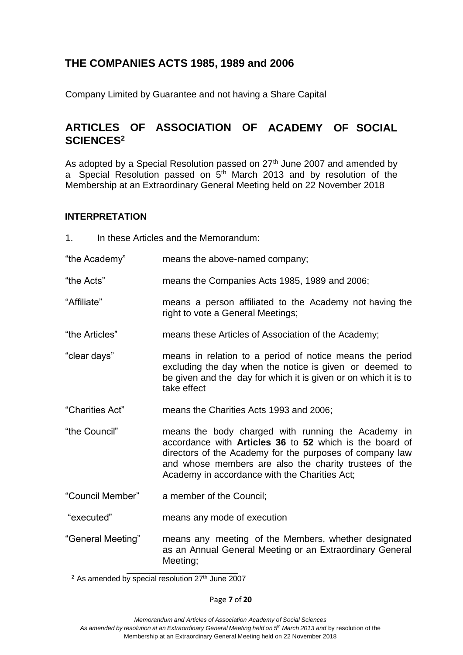# **THE COMPANIES ACTS 1985, 1989 and 2006**

Company Limited by Guarantee and not having a Share Capital

# **ARTICLES OF ASSOCIATION OF ACADEMY OF SOCIAL SCIENCES<sup>2</sup>**

As adopted by a Special Resolution passed on 27<sup>th</sup> June 2007 and amended by a Special Resolution passed on 5<sup>th</sup> March 2013 and by resolution of the Membership at an Extraordinary General Meeting held on 22 November 2018

#### **INTERPRETATION**

| In these Articles and the Memorandum:<br>1 <sub>1</sub> |                                                                                                                                                                                                                                                                                             |
|---------------------------------------------------------|---------------------------------------------------------------------------------------------------------------------------------------------------------------------------------------------------------------------------------------------------------------------------------------------|
| "the Academy"                                           | means the above-named company;                                                                                                                                                                                                                                                              |
| "the Acts"                                              | means the Companies Acts 1985, 1989 and 2006;                                                                                                                                                                                                                                               |
| "Affiliate"                                             | means a person affiliated to the Academy not having the<br>right to vote a General Meetings;                                                                                                                                                                                                |
| "the Articles"                                          | means these Articles of Association of the Academy;                                                                                                                                                                                                                                         |
| "clear days"                                            | means in relation to a period of notice means the period<br>excluding the day when the notice is given or deemed to<br>be given and the day for which it is given or on which it is to<br>take effect                                                                                       |
| "Charities Act"                                         | means the Charities Acts 1993 and 2006;                                                                                                                                                                                                                                                     |
| "the Council"                                           | means the body charged with running the Academy in<br>accordance with <b>Articles 36</b> to 52 which is the board of<br>directors of the Academy for the purposes of company law<br>and whose members are also the charity trustees of the<br>Academy in accordance with the Charities Act; |
| "Council Member"                                        | a member of the Council;                                                                                                                                                                                                                                                                    |
| "executed"                                              | means any mode of execution                                                                                                                                                                                                                                                                 |
| "General Meeting"                                       | means any meeting of the Members, whether designated<br>as an Annual General Meeting or an Extraordinary General<br>Meeting;                                                                                                                                                                |

 $2$  As amended by special resolution  $27<sup>th</sup>$  June 2007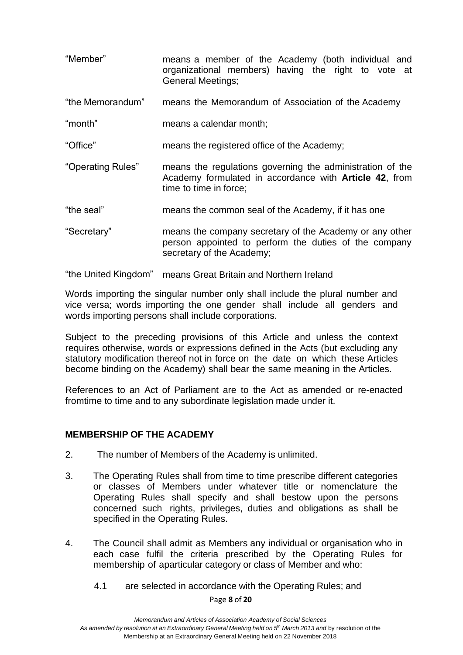| "Member"          | means a member of the Academy (both individual and<br>organizational members) having the right to vote at<br><b>General Meetings;</b>                 |
|-------------------|-------------------------------------------------------------------------------------------------------------------------------------------------------|
| "the Memorandum"  | means the Memorandum of Association of the Academy                                                                                                    |
| "month"           | means a calendar month;                                                                                                                               |
| "Office"          | means the registered office of the Academy;                                                                                                           |
| "Operating Rules" | means the regulations governing the administration of the<br>Academy formulated in accordance with <b>Article 42</b> , from<br>time to time in force; |
| "the seal"        | means the common seal of the Academy, if it has one                                                                                                   |
| "Secretary"       | means the company secretary of the Academy or any other<br>person appointed to perform the duties of the company<br>secretary of the Academy;         |

"the United Kingdom" means Great Britain and Northern Ireland

Words importing the singular number only shall include the plural number and vice versa; words importing the one gender shall include all genders and words importing persons shall include corporations.

Subject to the preceding provisions of this Article and unless the context requires otherwise, words or expressions defined in the Acts (but excluding any statutory modification thereof not in force on the date on which these Articles become binding on the Academy) shall bear the same meaning in the Articles.

References to an Act of Parliament are to the Act as amended or re-enacted fromtime to time and to any subordinate legislation made under it.

#### **MEMBERSHIP OF THE ACADEMY**

- 2. The number of Members of the Academy is unlimited.
- 3. The Operating Rules shall from time to time prescribe different categories or classes of Members under whatever title or nomenclature the Operating Rules shall specify and shall bestow upon the persons concerned such rights, privileges, duties and obligations as shall be specified in the Operating Rules.
- 4. The Council shall admit as Members any individual or organisation who in each case fulfil the criteria prescribed by the Operating Rules for membership of aparticular category or class of Member and who:
	- 4.1 are selected in accordance with the Operating Rules; and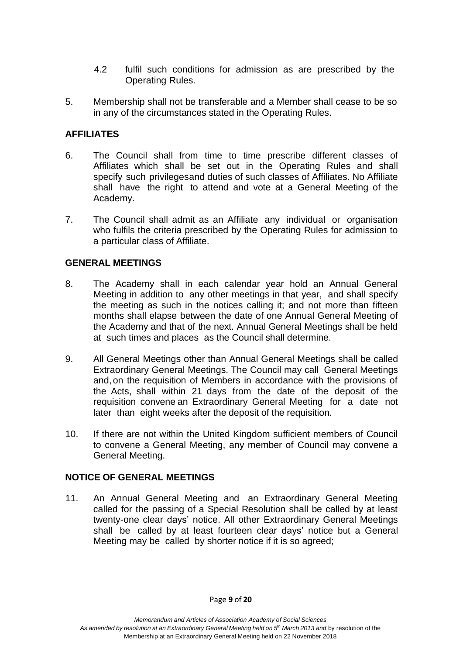- 4.2 fulfil such conditions for admission as are prescribed by the Operating Rules.
- 5. Membership shall not be transferable and a Member shall cease to be so in any of the circumstances stated in the Operating Rules.

## **AFFILIATES**

- 6. The Council shall from time to time prescribe different classes of Affiliates which shall be set out in the Operating Rules and shall specify such privilegesand duties of such classes of Affiliates. No Affiliate shall have the right to attend and vote at a General Meeting of the Academy.
- 7. The Council shall admit as an Affiliate any individual or organisation who fulfils the criteria prescribed by the Operating Rules for admission to a particular class of Affiliate.

#### **GENERAL MEETINGS**

- 8. The Academy shall in each calendar year hold an Annual General Meeting in addition to any other meetings in that year, and shall specify the meeting as such in the notices calling it; and not more than fifteen months shall elapse between the date of one Annual General Meeting of the Academy and that of the next. Annual General Meetings shall be held at such times and places as the Council shall determine.
- 9. All General Meetings other than Annual General Meetings shall be called Extraordinary General Meetings. The Council may call General Meetings and, on the requisition of Members in accordance with the provisions of the Acts, shall within 21 days from the date of the deposit of the requisition convene an Extraordinary General Meeting for a date not later than eight weeks after the deposit of the requisition.
- 10. If there are not within the United Kingdom sufficient members of Council to convene a General Meeting, any member of Council may convene a General Meeting.

#### **NOTICE OF GENERAL MEETINGS**

11. An Annual General Meeting and an Extraordinary General Meeting called for the passing of a Special Resolution shall be called by at least twenty-one clear days' notice. All other Extraordinary General Meetings shall be called by at least fourteen clear days' notice but a General Meeting may be called by shorter notice if it is so agreed;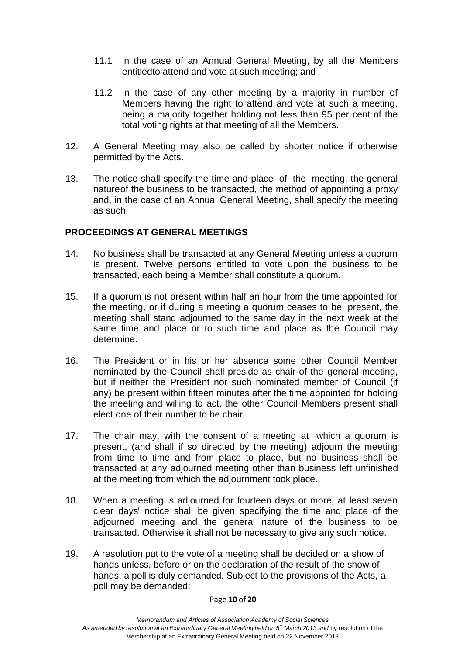- 11.1 in the case of an Annual General Meeting, by all the Members entitledto attend and vote at such meeting; and
- 11.2 in the case of any other meeting by a majority in number of Members having the right to attend and vote at such a meeting, being a majority together holding not less than 95 per cent of the total voting rights at that meeting of all the Members.
- 12. A General Meeting may also be called by shorter notice if otherwise permitted by the Acts.
- 13. The notice shall specify the time and place of the meeting, the general natureof the business to be transacted, the method of appointing a proxy and, in the case of an Annual General Meeting, shall specify the meeting as such.

#### **PROCEEDINGS AT GENERAL MEETINGS**

- 14. No business shall be transacted at any General Meeting unless a quorum is present. Twelve persons entitled to vote upon the business to be transacted, each being a Member shall constitute a quorum.
- 15. If a quorum is not present within half an hour from the time appointed for the meeting, or if during a meeting a quorum ceases to be present, the meeting shall stand adjourned to the same day in the next week at the same time and place or to such time and place as the Council may determine.
- 16. The President or in his or her absence some other Council Member nominated by the Council shall preside as chair of the general meeting, but if neither the President nor such nominated member of Council (if any) be present within fifteen minutes after the time appointed for holding the meeting and willing to act, the other Council Members present shall elect one of their number to be chair.
- 17. The chair may, with the consent of a meeting at which a quorum is present, (and shall if so directed by the meeting) adjourn the meeting from time to time and from place to place, but no business shall be transacted at any adjourned meeting other than business left unfinished at the meeting from which the adjournment took place.
- 18. When a meeting is adjourned for fourteen days or more, at least seven clear days' notice shall be given specifying the time and place of the adjourned meeting and the general nature of the business to be transacted. Otherwise it shall not be necessary to give any such notice.
- 19. A resolution put to the vote of a meeting shall be decided on a show of hands unless, before or on the declaration of the result of the show of hands, a poll is duly demanded. Subject to the provisions of the Acts, a poll may be demanded: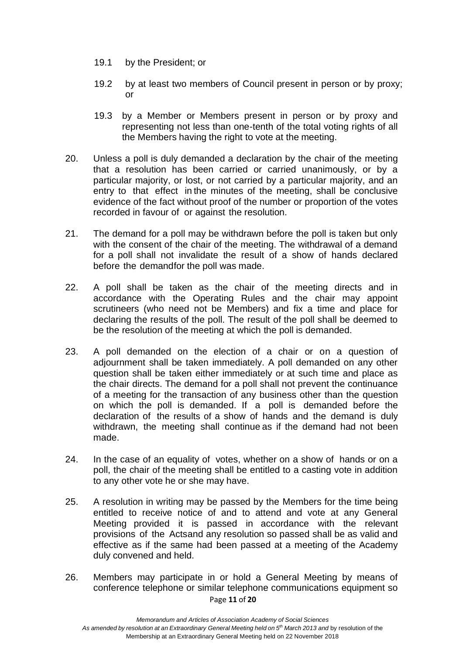- 19.1 by the President; or
- 19.2 by at least two members of Council present in person or by proxy; or
- 19.3 by a Member or Members present in person or by proxy and representing not less than one-tenth of the total voting rights of all the Members having the right to vote at the meeting.
- 20. Unless a poll is duly demanded a declaration by the chair of the meeting that a resolution has been carried or carried unanimously, or by a particular majority, or lost, or not carried by a particular majority, and an entry to that effect in the minutes of the meeting, shall be conclusive evidence of the fact without proof of the number or proportion of the votes recorded in favour of or against the resolution.
- 21. The demand for a poll may be withdrawn before the poll is taken but only with the consent of the chair of the meeting. The withdrawal of a demand for a poll shall not invalidate the result of a show of hands declared before the demandfor the poll was made.
- 22. A poll shall be taken as the chair of the meeting directs and in accordance with the Operating Rules and the chair may appoint scrutineers (who need not be Members) and fix a time and place for declaring the results of the poll. The result of the poll shall be deemed to be the resolution of the meeting at which the poll is demanded.
- 23. A poll demanded on the election of a chair or on a question of adjournment shall be taken immediately. A poll demanded on any other question shall be taken either immediately or at such time and place as the chair directs. The demand for a poll shall not prevent the continuance of a meeting for the transaction of any business other than the question on which the poll is demanded. If a poll is demanded before the declaration of the results of a show of hands and the demand is duly withdrawn, the meeting shall continue as if the demand had not been made.
- 24. In the case of an equality of votes, whether on a show of hands or on a poll, the chair of the meeting shall be entitled to a casting vote in addition to any other vote he or she may have.
- 25. A resolution in writing may be passed by the Members for the time being entitled to receive notice of and to attend and vote at any General Meeting provided it is passed in accordance with the relevant provisions of the Actsand any resolution so passed shall be as valid and effective as if the same had been passed at a meeting of the Academy duly convened and held.
- Page **11** of **20** 26. Members may participate in or hold a General Meeting by means of conference telephone or similar telephone communications equipment so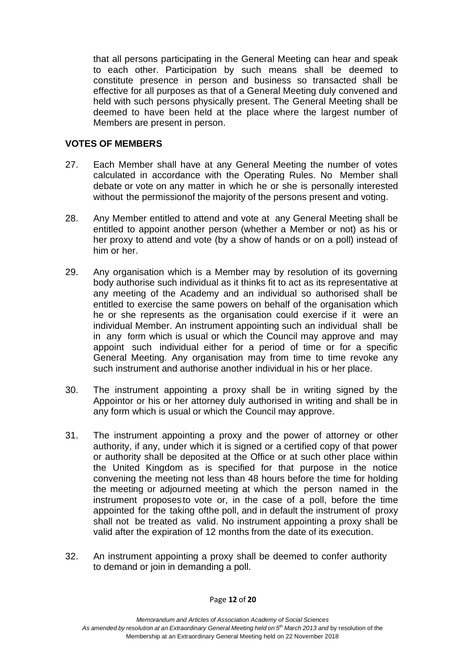that all persons participating in the General Meeting can hear and speak to each other. Participation by such means shall be deemed to constitute presence in person and business so transacted shall be effective for all purposes as that of a General Meeting duly convened and held with such persons physically present. The General Meeting shall be deemed to have been held at the place where the largest number of Members are present in person.

#### **VOTES OF MEMBERS**

- 27. Each Member shall have at any General Meeting the number of votes calculated in accordance with the Operating Rules. No Member shall debate or vote on any matter in which he or she is personally interested without the permissionof the majority of the persons present and voting.
- 28. Any Member entitled to attend and vote at any General Meeting shall be entitled to appoint another person (whether a Member or not) as his or her proxy to attend and vote (by a show of hands or on a poll) instead of him or her.
- 29. Any organisation which is a Member may by resolution of its governing body authorise such individual as it thinks fit to act as its representative at any meeting of the Academy and an individual so authorised shall be entitled to exercise the same powers on behalf of the organisation which he or she represents as the organisation could exercise if it were an individual Member. An instrument appointing such an individual shall be in any form which is usual or which the Council may approve and may appoint such individual either for a period of time or for a specific General Meeting. Any organisation may from time to time revoke any such instrument and authorise another individual in his or her place.
- 30. The instrument appointing a proxy shall be in writing signed by the Appointor or his or her attorney duly authorised in writing and shall be in any form which is usual or which the Council may approve.
- 31. The instrument appointing a proxy and the power of attorney or other authority, if any, under which it is signed or a certified copy of that power or authority shall be deposited at the Office or at such other place within the United Kingdom as is specified for that purpose in the notice convening the meeting not less than 48 hours before the time for holding the meeting or adjourned meeting at which the person named in the instrument proposes to vote or, in the case of a poll, before the time appointed for the taking ofthe poll, and in default the instrument of proxy shall not be treated as valid. No instrument appointing a proxy shall be valid after the expiration of 12 months from the date of its execution.
- 32. An instrument appointing a proxy shall be deemed to confer authority to demand or join in demanding a poll.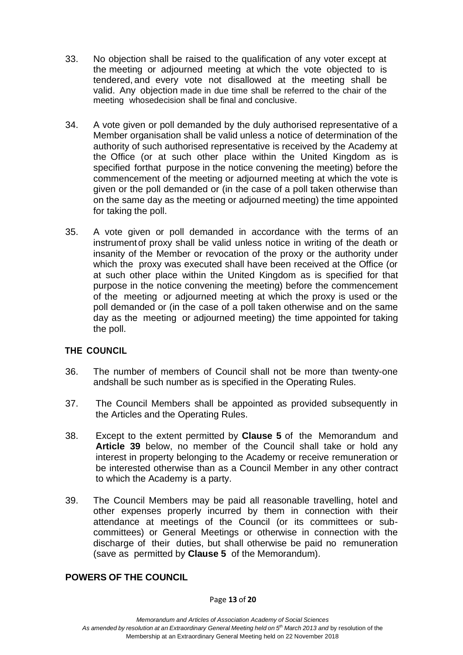- 33. No objection shall be raised to the qualification of any voter except at the meeting or adjourned meeting at which the vote objected to is tendered, and every vote not disallowed at the meeting shall be valid. Any objection made in due time shall be referred to the chair of the meeting whosedecision shall be final and conclusive.
- 34. A vote given or poll demanded by the duly authorised representative of a Member organisation shall be valid unless a notice of determination of the authority of such authorised representative is received by the Academy at the Office (or at such other place within the United Kingdom as is specified forthat purpose in the notice convening the meeting) before the commencement of the meeting or adjourned meeting at which the vote is given or the poll demanded or (in the case of a poll taken otherwise than on the same day as the meeting or adjourned meeting) the time appointed for taking the poll.
- 35. A vote given or poll demanded in accordance with the terms of an instrumentof proxy shall be valid unless notice in writing of the death or insanity of the Member or revocation of the proxy or the authority under which the proxy was executed shall have been received at the Office (or at such other place within the United Kingdom as is specified for that purpose in the notice convening the meeting) before the commencement of the meeting or adjourned meeting at which the proxy is used or the poll demanded or (in the case of a poll taken otherwise and on the same day as the meeting or adjourned meeting) the time appointed for taking the poll.

## **THE COUNCIL**

- 36. The number of members of Council shall not be more than twenty-one andshall be such number as is specified in the Operating Rules.
- 37. The Council Members shall be appointed as provided subsequently in the Articles and the Operating Rules.
- 38. Except to the extent permitted by **Clause 5** of the Memorandum and **Article 39** below, no member of the Council shall take or hold any interest in property belonging to the Academy or receive remuneration or be interested otherwise than as a Council Member in any other contract to which the Academy is a party.
- 39. The Council Members may be paid all reasonable travelling, hotel and other expenses properly incurred by them in connection with their attendance at meetings of the Council (or its committees or subcommittees) or General Meetings or otherwise in connection with the discharge of their duties, but shall otherwise be paid no remuneration (save as permitted by **Clause 5** of the Memorandum).

#### **POWERS OF THE COUNCIL**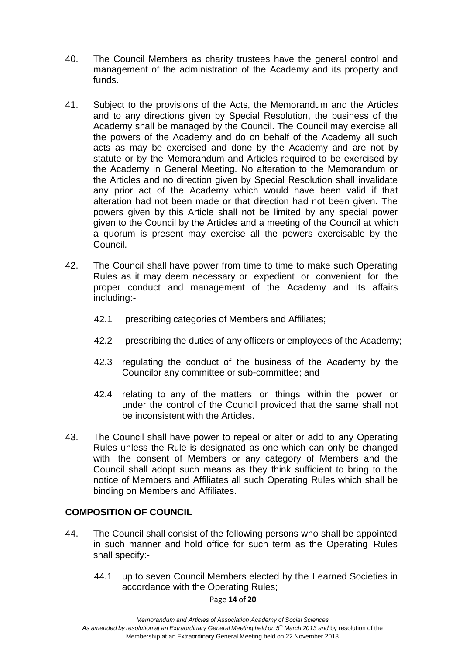- 40. The Council Members as charity trustees have the general control and management of the administration of the Academy and its property and funds.
- 41. Subject to the provisions of the Acts, the Memorandum and the Articles and to any directions given by Special Resolution, the business of the Academy shall be managed by the Council. The Council may exercise all the powers of the Academy and do on behalf of the Academy all such acts as may be exercised and done by the Academy and are not by statute or by the Memorandum and Articles required to be exercised by the Academy in General Meeting. No alteration to the Memorandum or the Articles and no direction given by Special Resolution shall invalidate any prior act of the Academy which would have been valid if that alteration had not been made or that direction had not been given. The powers given by this Article shall not be limited by any special power given to the Council by the Articles and a meeting of the Council at which a quorum is present may exercise all the powers exercisable by the Council.
- 42. The Council shall have power from time to time to make such Operating Rules as it may deem necessary or expedient or convenient for the proper conduct and management of the Academy and its affairs including:-
	- 42.1 prescribing categories of Members and Affiliates;
	- 42.2 prescribing the duties of any officers or employees of the Academy;
	- 42.3 regulating the conduct of the business of the Academy by the Councilor any committee or sub-committee; and
	- 42.4 relating to any of the matters or things within the power or under the control of the Council provided that the same shall not be inconsistent with the Articles.
- 43. The Council shall have power to repeal or alter or add to any Operating Rules unless the Rule is designated as one which can only be changed with the consent of Members or any category of Members and the Council shall adopt such means as they think sufficient to bring to the notice of Members and Affiliates all such Operating Rules which shall be binding on Members and Affiliates.

## **COMPOSITION OF COUNCIL**

- 44. The Council shall consist of the following persons who shall be appointed in such manner and hold office for such term as the Operating Rules shall specify:-
	- 44.1 up to seven Council Members elected by the Learned Societies in accordance with the Operating Rules;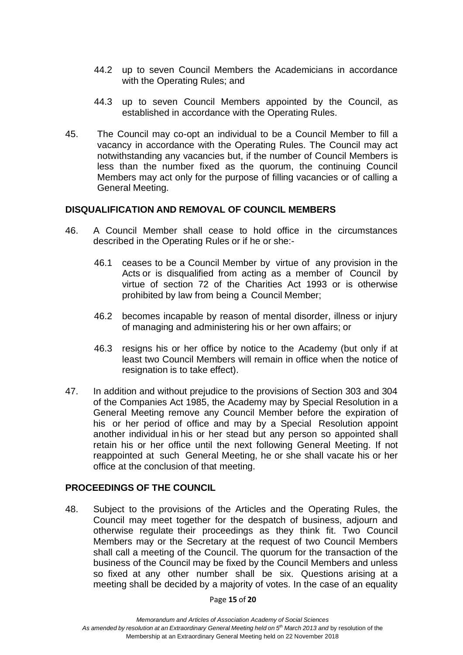- 44.2 up to seven Council Members the Academicians in accordance with the Operating Rules; and
- 44.3 up to seven Council Members appointed by the Council, as established in accordance with the Operating Rules.
- 45. The Council may co-opt an individual to be a Council Member to fill a vacancy in accordance with the Operating Rules. The Council may act notwithstanding any vacancies but, if the number of Council Members is less than the number fixed as the quorum, the continuing Council Members may act only for the purpose of filling vacancies or of calling a General Meeting.

#### **DISQUALIFICATION AND REMOVAL OF COUNCIL MEMBERS**

- 46. A Council Member shall cease to hold office in the circumstances described in the Operating Rules or if he or she:-
	- 46.1 ceases to be a Council Member by virtue of any provision in the Acts or is disqualified from acting as a member of Council by virtue of section 72 of the Charities Act 1993 or is otherwise prohibited by law from being a Council Member;
	- 46.2 becomes incapable by reason of mental disorder, illness or injury of managing and administering his or her own affairs; or
	- 46.3 resigns his or her office by notice to the Academy (but only if at least two Council Members will remain in office when the notice of resignation is to take effect).
- 47. In addition and without prejudice to the provisions of Section 303 and 304 of the Companies Act 1985, the Academy may by Special Resolution in a General Meeting remove any Council Member before the expiration of his or her period of office and may by a Special Resolution appoint another individual in his or her stead but any person so appointed shall retain his or her office until the next following General Meeting. If not reappointed at such General Meeting, he or she shall vacate his or her office at the conclusion of that meeting.

#### **PROCEEDINGS OF THE COUNCIL**

48. Subject to the provisions of the Articles and the Operating Rules, the Council may meet together for the despatch of business, adjourn and otherwise regulate their proceedings as they think fit. Two Council Members may or the Secretary at the request of two Council Members shall call a meeting of the Council. The quorum for the transaction of the business of the Council may be fixed by the Council Members and unless so fixed at any other number shall be six. Questions arising at a meeting shall be decided by a majority of votes. In the case of an equality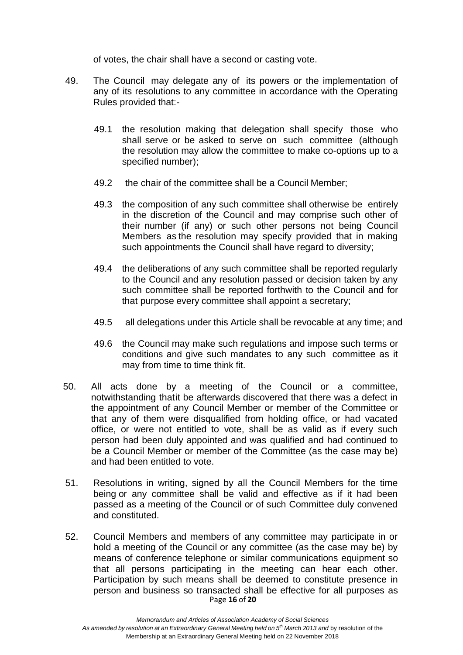of votes, the chair shall have a second or casting vote.

- 49. The Council may delegate any of its powers or the implementation of any of its resolutions to any committee in accordance with the Operating Rules provided that:-
	- 49.1 the resolution making that delegation shall specify those who shall serve or be asked to serve on such committee (although the resolution may allow the committee to make co-options up to a specified number);
	- 49.2 the chair of the committee shall be a Council Member;
	- 49.3 the composition of any such committee shall otherwise be entirely in the discretion of the Council and may comprise such other of their number (if any) or such other persons not being Council Members as the resolution may specify provided that in making such appointments the Council shall have regard to diversity;
	- 49.4 the deliberations of any such committee shall be reported regularly to the Council and any resolution passed or decision taken by any such committee shall be reported forthwith to the Council and for that purpose every committee shall appoint a secretary;
	- 49.5 all delegations under this Article shall be revocable at any time; and
	- 49.6 the Council may make such regulations and impose such terms or conditions and give such mandates to any such committee as it may from time to time think fit.
- 50. All acts done by a meeting of the Council or a committee, notwithstanding thatit be afterwards discovered that there was a defect in the appointment of any Council Member or member of the Committee or that any of them were disqualified from holding office, or had vacated office, or were not entitled to vote, shall be as valid as if every such person had been duly appointed and was qualified and had continued to be a Council Member or member of the Committee (as the case may be) and had been entitled to vote.
- 51. Resolutions in writing, signed by all the Council Members for the time being or any committee shall be valid and effective as if it had been passed as a meeting of the Council or of such Committee duly convened and constituted.
- Page **16** of **20** 52. Council Members and members of any committee may participate in or hold a meeting of the Council or any committee (as the case may be) by means of conference telephone or similar communications equipment so that all persons participating in the meeting can hear each other. Participation by such means shall be deemed to constitute presence in person and business so transacted shall be effective for all purposes as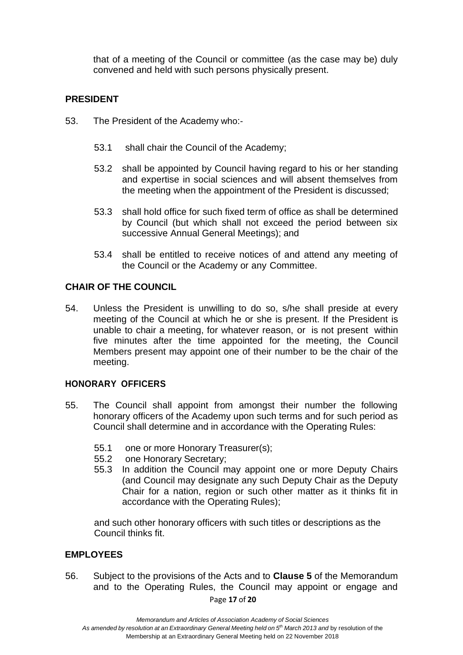that of a meeting of the Council or committee (as the case may be) duly convened and held with such persons physically present.

#### **PRESIDENT**

- 53. The President of the Academy who:-
	- 53.1 shall chair the Council of the Academy;
	- 53.2 shall be appointed by Council having regard to his or her standing and expertise in social sciences and will absent themselves from the meeting when the appointment of the President is discussed;
	- 53.3 shall hold office for such fixed term of office as shall be determined by Council (but which shall not exceed the period between six successive Annual General Meetings); and
	- 53.4 shall be entitled to receive notices of and attend any meeting of the Council or the Academy or any Committee.

#### **CHAIR OF THE COUNCIL**

54. Unless the President is unwilling to do so, s/he shall preside at every meeting of the Council at which he or she is present. If the President is unable to chair a meeting, for whatever reason, or is not present within five minutes after the time appointed for the meeting, the Council Members present may appoint one of their number to be the chair of the meeting.

#### **HONORARY OFFICERS**

- 55. The Council shall appoint from amongst their number the following honorary officers of the Academy upon such terms and for such period as Council shall determine and in accordance with the Operating Rules:
	- 55.1 one or more Honorary Treasurer(s);
	- 55.2 one Honorary Secretary;
	- 55.3 In addition the Council may appoint one or more Deputy Chairs (and Council may designate any such Deputy Chair as the Deputy Chair for a nation, region or such other matter as it thinks fit in accordance with the Operating Rules);

and such other honorary officers with such titles or descriptions as the Council thinks fit.

#### **EMPLOYEES**

56. Subject to the provisions of the Acts and to **Clause 5** of the Memorandum and to the Operating Rules, the Council may appoint or engage and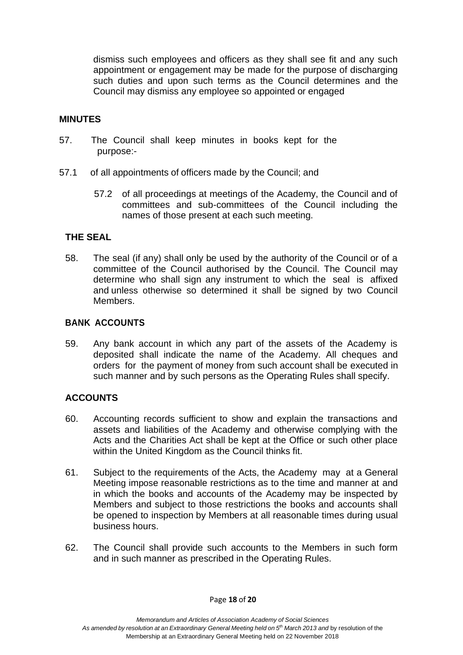dismiss such employees and officers as they shall see fit and any such appointment or engagement may be made for the purpose of discharging such duties and upon such terms as the Council determines and the Council may dismiss any employee so appointed or engaged

#### **MINUTES**

- 57. The Council shall keep minutes in books kept for the purpose:-
- 57.1 of all appointments of officers made by the Council; and
	- 57.2 of all proceedings at meetings of the Academy, the Council and of committees and sub-committees of the Council including the names of those present at each such meeting.

#### **THE SEAL**

58. The seal (if any) shall only be used by the authority of the Council or of a committee of the Council authorised by the Council. The Council may determine who shall sign any instrument to which the seal is affixed and unless otherwise so determined it shall be signed by two Council Members.

#### **BANK ACCOUNTS**

59. Any bank account in which any part of the assets of the Academy is deposited shall indicate the name of the Academy. All cheques and orders for the payment of money from such account shall be executed in such manner and by such persons as the Operating Rules shall specify.

#### **ACCOUNTS**

- 60. Accounting records sufficient to show and explain the transactions and assets and liabilities of the Academy and otherwise complying with the Acts and the Charities Act shall be kept at the Office or such other place within the United Kingdom as the Council thinks fit.
- 61. Subject to the requirements of the Acts, the Academy may at a General Meeting impose reasonable restrictions as to the time and manner at and in which the books and accounts of the Academy may be inspected by Members and subject to those restrictions the books and accounts shall be opened to inspection by Members at all reasonable times during usual business hours.
- 62. The Council shall provide such accounts to the Members in such form and in such manner as prescribed in the Operating Rules.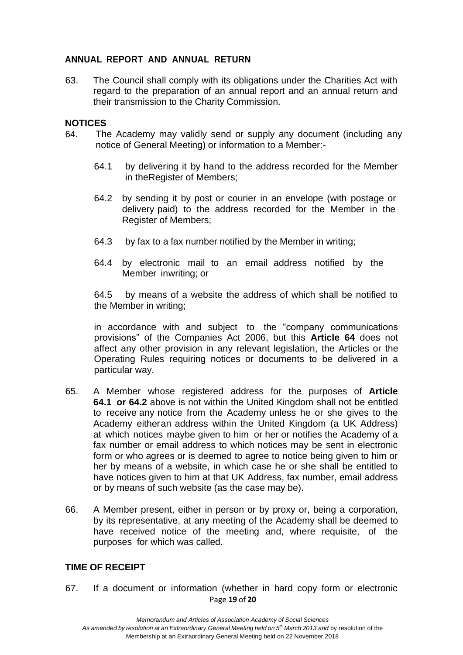#### **ANNUAL REPORT AND ANNUAL RETURN**

63. The Council shall comply with its obligations under the Charities Act with regard to the preparation of an annual report and an annual return and their transmission to the Charity Commission.

#### **NOTICES**

- 64. The Academy may validly send or supply any document (including any notice of General Meeting) or information to a Member:-
	- 64.1 by delivering it by hand to the address recorded for the Member in theRegister of Members;
	- 64.2 by sending it by post or courier in an envelope (with postage or delivery paid) to the address recorded for the Member in the Register of Members;
	- 64.3 by fax to a fax number notified by the Member in writing;
	- 64.4 by electronic mail to an email address notified by the Member inwriting; or

64.5 by means of a website the address of which shall be notified to the Member in writing;

in accordance with and subject to the "company communications provisions" of the Companies Act 2006, but this **Article 64** does not affect any other provision in any relevant legislation, the Articles or the Operating Rules requiring notices or documents to be delivered in a particular way.

- 65. A Member whose registered address for the purposes of **Article 64.1 or 64.2** above is not within the United Kingdom shall not be entitled to receive any notice from the Academy unless he or she gives to the Academy eitheran address within the United Kingdom (a UK Address) at which notices maybe given to him or her or notifies the Academy of a fax number or email address to which notices may be sent in electronic form or who agrees or is deemed to agree to notice being given to him or her by means of a website, in which case he or she shall be entitled to have notices given to him at that UK Address, fax number, email address or by means of such website (as the case may be).
- 66. A Member present, either in person or by proxy or, being a corporation, by its representative, at any meeting of the Academy shall be deemed to have received notice of the meeting and, where requisite, of the purposes for which was called.

#### **TIME OF RECEIPT**

Page **19** of **20** 67. If a document or information (whether in hard copy form or electronic